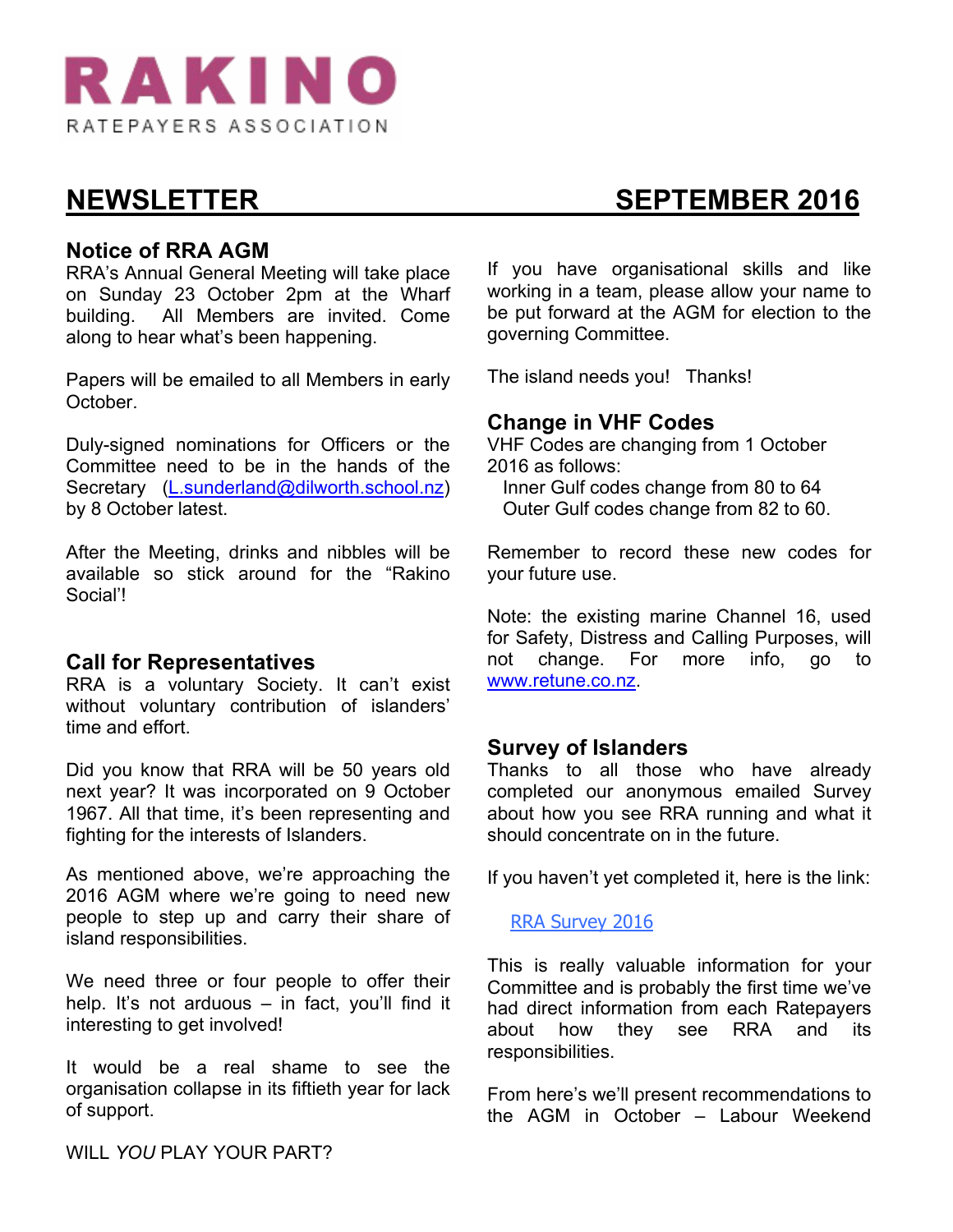

### **Notice of RRA AGM**

RRA's Annual General Meeting will take place on Sunday 23 October 2pm at the Wharf building. All Members are invited. Come along to hear what's been happening.

Papers will be emailed to all Members in early October.

Duly-signed nominations for Officers or the Committee need to be in the hands of the Secretary (L.sunderland@dilworth.school.nz) by 8 October latest.

After the Meeting, drinks and nibbles will be available so stick around for the "Rakino Social'!

### **Call for Representatives**

RRA is a voluntary Society. It can't exist without voluntary contribution of islanders' time and effort.

Did you know that RRA will be 50 years old next year? It was incorporated on 9 October 1967. All that time, it's been representing and fighting for the interests of Islanders.

As mentioned above, we're approaching the 2016 AGM where we're going to need new people to step up and carry their share of island responsibilities.

We need three or four people to offer their help. It's not arduous – in fact, you'll find it interesting to get involved!

It would be a real shame to see the organisation collapse in its fiftieth year for lack of support.

If you have organisational skills and like working in a team, please allow your name to be put forward at the AGM for election to the governing Committee.

The island needs you! Thanks!

### **Change in VHF Codes**

VHF Codes are changing from 1 October 2016 as follows:

 Inner Gulf codes change from 80 to 64 Outer Gulf codes change from 82 to 60.

Remember to record these new codes for your future use.

Note: the existing marine Channel 16, used for Safety, Distress and Calling Purposes, will not change. For more info, go to www.retune.co.nz.

### **Survey of Islanders**

Thanks to all those who have already completed our anonymous emailed Survey about how you see RRA running and what it should concentrate on in the future.

If you haven't yet completed it, here is the link:

#### RRA Survey 2016

This is really valuable information for your Committee and is probably the first time we've had direct information from each Ratepayers about how they see RRA and its responsibilities.

From here's we'll present recommendations to the AGM in October – Labour Weekend